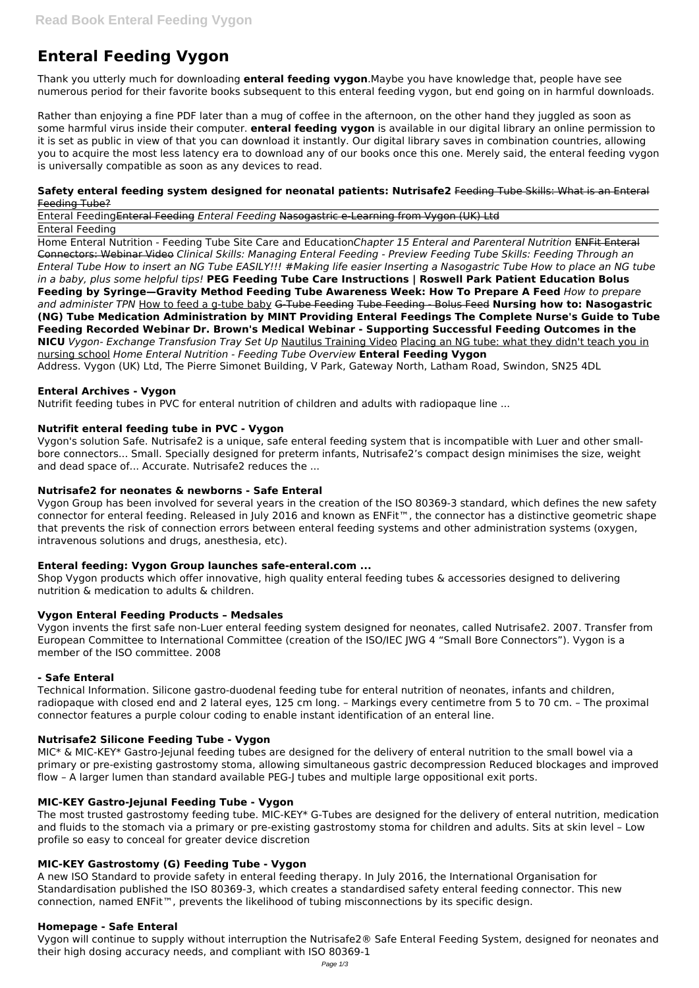# **Enteral Feeding Vygon**

Thank you utterly much for downloading **enteral feeding vygon**.Maybe you have knowledge that, people have see numerous period for their favorite books subsequent to this enteral feeding vygon, but end going on in harmful downloads.

Rather than enjoying a fine PDF later than a mug of coffee in the afternoon, on the other hand they juggled as soon as some harmful virus inside their computer. **enteral feeding vygon** is available in our digital library an online permission to it is set as public in view of that you can download it instantly. Our digital library saves in combination countries, allowing you to acquire the most less latency era to download any of our books once this one. Merely said, the enteral feeding vygon is universally compatible as soon as any devices to read.

#### **Safety enteral feeding system designed for neonatal patients: Nutrisafe2** Feeding Tube Skills: What is an Enteral Feeding Tube?

Enteral FeedingEnteral Feeding *Enteral Feeding* Nasogastric e-Learning from Vygon (UK) Ltd Enteral Feeding

Home Enteral Nutrition - Feeding Tube Site Care and Education*Chapter 15 Enteral and Parenteral Nutrition* ENFit Enteral Connectors: Webinar Video *Clinical Skills: Managing Enteral Feeding - Preview Feeding Tube Skills: Feeding Through an Enteral Tube How to insert an NG Tube EASILY!!! #Making life easier Inserting a Nasogastric Tube How to place an NG tube in a baby, plus some helpful tips!* **PEG Feeding Tube Care Instructions | Roswell Park Patient Education Bolus Feeding by Syringe—Gravity Method Feeding Tube Awareness Week: How To Prepare A Feed** *How to prepare and administer TPN* How to feed a g-tube baby G-Tube Feeding Tube Feeding - Bolus Feed **Nursing how to: Nasogastric (NG) Tube Medication Administration by MINT Providing Enteral Feedings The Complete Nurse's Guide to Tube Feeding Recorded Webinar Dr. Brown's Medical Webinar - Supporting Successful Feeding Outcomes in the NICU** *Vygon- Exchange Transfusion Tray Set Up* Nautilus Training Video Placing an NG tube: what they didn't teach you in nursing school *Home Enteral Nutrition - Feeding Tube Overview* **Enteral Feeding Vygon** Address. Vygon (UK) Ltd, The Pierre Simonet Building, V Park, Gateway North, Latham Road, Swindon, SN25 4DL

#### **Enteral Archives - Vygon**

Nutrifit feeding tubes in PVC for enteral nutrition of children and adults with radiopaque line ...

#### **Nutrifit enteral feeding tube in PVC - Vygon**

Vygon's solution Safe. Nutrisafe2 is a unique, safe enteral feeding system that is incompatible with Luer and other smallbore connectors... Small. Specially designed for preterm infants, Nutrisafe2's compact design minimises the size, weight and dead space of... Accurate. Nutrisafe2 reduces the ...

#### **Nutrisafe2 for neonates & newborns - Safe Enteral**

Vygon Group has been involved for several years in the creation of the ISO 80369-3 standard, which defines the new safety connector for enteral feeding. Released in July 2016 and known as ENFit™, the connector has a distinctive geometric shape that prevents the risk of connection errors between enteral feeding systems and other administration systems (oxygen, intravenous solutions and drugs, anesthesia, etc).

#### **Enteral feeding: Vygon Group launches safe-enteral.com ...**

Shop Vygon products which offer innovative, high quality enteral feeding tubes & accessories designed to delivering nutrition & medication to adults & children.

#### **Vygon Enteral Feeding Products – Medsales**

Vygon invents the first safe non-Luer enteral feeding system designed for neonates, called Nutrisafe2. 2007. Transfer from European Committee to International Committee (creation of the ISO/IEC JWG 4 "Small Bore Connectors"). Vygon is a member of the ISO committee. 2008

#### **- Safe Enteral**

Technical Information. Silicone gastro-duodenal feeding tube for enteral nutrition of neonates, infants and children, radiopaque with closed end and 2 lateral eyes, 125 cm long. – Markings every centimetre from 5 to 70 cm. – The proximal connector features a purple colour coding to enable instant identification of an enteral line.

#### **Nutrisafe2 Silicone Feeding Tube - Vygon**

MIC\* & MIC-KEY\* Gastro-Jejunal feeding tubes are designed for the delivery of enteral nutrition to the small bowel via a primary or pre-existing gastrostomy stoma, allowing simultaneous gastric decompression Reduced blockages and improved flow – A larger lumen than standard available PEG-J tubes and multiple large oppositional exit ports.

# **MIC-KEY Gastro-Jejunal Feeding Tube - Vygon**

The most trusted gastrostomy feeding tube. MIC-KEY\* G-Tubes are designed for the delivery of enteral nutrition, medication and fluids to the stomach via a primary or pre-existing gastrostomy stoma for children and adults. Sits at skin level – Low profile so easy to conceal for greater device discretion

#### **MIC-KEY Gastrostomy (G) Feeding Tube - Vygon**

A new ISO Standard to provide safety in enteral feeding therapy. In July 2016, the International Organisation for Standardisation published the ISO 80369-3, which creates a standardised safety enteral feeding connector. This new connection, named ENFit™, prevents the likelihood of tubing misconnections by its specific design.

#### **Homepage - Safe Enteral**

Vygon will continue to supply without interruption the Nutrisafe2® Safe Enteral Feeding System, designed for neonates and their high dosing accuracy needs, and compliant with ISO 80369-1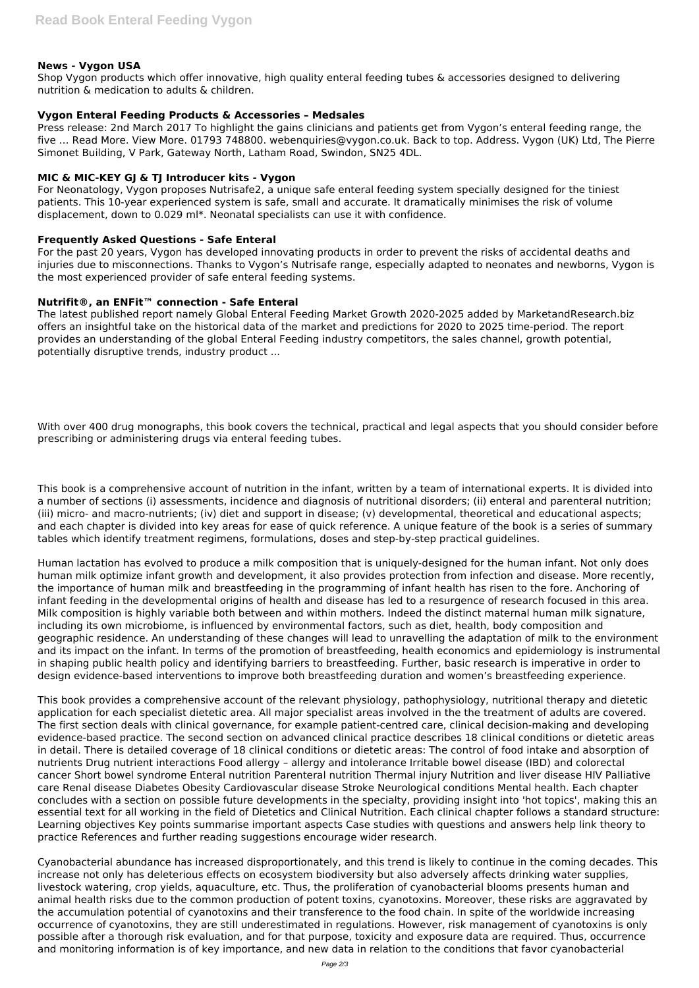## **News - Vygon USA**

Shop Vygon products which offer innovative, high quality enteral feeding tubes & accessories designed to delivering nutrition & medication to adults & children.

#### **Vygon Enteral Feeding Products & Accessories – Medsales**

Press release: 2nd March 2017 To highlight the gains clinicians and patients get from Vygon's enteral feeding range, the five … Read More. View More. 01793 748800. webenquiries@vygon.co.uk. Back to top. Address. Vygon (UK) Ltd, The Pierre Simonet Building, V Park, Gateway North, Latham Road, Swindon, SN25 4DL.

## **MIC & MIC-KEY GJ & TJ Introducer kits - Vygon**

For Neonatology, Vygon proposes Nutrisafe2, a unique safe enteral feeding system specially designed for the tiniest patients. This 10-year experienced system is safe, small and accurate. It dramatically minimises the risk of volume displacement, down to 0.029 ml\*. Neonatal specialists can use it with confidence.

#### **Frequently Asked Questions - Safe Enteral**

For the past 20 years, Vygon has developed innovating products in order to prevent the risks of accidental deaths and injuries due to misconnections. Thanks to Vygon's Nutrisafe range, especially adapted to neonates and newborns, Vygon is the most experienced provider of safe enteral feeding systems.

# **Nutrifit®, an ENFit™ connection - Safe Enteral**

The latest published report namely Global Enteral Feeding Market Growth 2020-2025 added by MarketandResearch.biz offers an insightful take on the historical data of the market and predictions for 2020 to 2025 time-period. The report provides an understanding of the global Enteral Feeding industry competitors, the sales channel, growth potential, potentially disruptive trends, industry product ...

With over 400 drug monographs, this book covers the technical, practical and legal aspects that you should consider before prescribing or administering drugs via enteral feeding tubes.

This book is a comprehensive account of nutrition in the infant, written by a team of international experts. It is divided into a number of sections (i) assessments, incidence and diagnosis of nutritional disorders; (ii) enteral and parenteral nutrition; (iii) micro- and macro-nutrients; (iv) diet and support in disease; (v) developmental, theoretical and educational aspects; and each chapter is divided into key areas for ease of quick reference. A unique feature of the book is a series of summary tables which identify treatment regimens, formulations, doses and step-by-step practical guidelines.

Human lactation has evolved to produce a milk composition that is uniquely-designed for the human infant. Not only does human milk optimize infant growth and development, it also provides protection from infection and disease. More recently, the importance of human milk and breastfeeding in the programming of infant health has risen to the fore. Anchoring of infant feeding in the developmental origins of health and disease has led to a resurgence of research focused in this area. Milk composition is highly variable both between and within mothers. Indeed the distinct maternal human milk signature, including its own microbiome, is influenced by environmental factors, such as diet, health, body composition and geographic residence. An understanding of these changes will lead to unravelling the adaptation of milk to the environment and its impact on the infant. In terms of the promotion of breastfeeding, health economics and epidemiology is instrumental in shaping public health policy and identifying barriers to breastfeeding. Further, basic research is imperative in order to design evidence-based interventions to improve both breastfeeding duration and women's breastfeeding experience.

This book provides a comprehensive account of the relevant physiology, pathophysiology, nutritional therapy and dietetic application for each specialist dietetic area. All major specialist areas involved in the the treatment of adults are covered. The first section deals with clinical governance, for example patient-centred care, clinical decision-making and developing evidence-based practice. The second section on advanced clinical practice describes 18 clinical conditions or dietetic areas in detail. There is detailed coverage of 18 clinical conditions or dietetic areas: The control of food intake and absorption of nutrients Drug nutrient interactions Food allergy – allergy and intolerance Irritable bowel disease (IBD) and colorectal cancer Short bowel syndrome Enteral nutrition Parenteral nutrition Thermal injury Nutrition and liver disease HIV Palliative care Renal disease Diabetes Obesity Cardiovascular disease Stroke Neurological conditions Mental health. Each chapter concludes with a section on possible future developments in the specialty, providing insight into 'hot topics', making this an essential text for all working in the field of Dietetics and Clinical Nutrition. Each clinical chapter follows a standard structure: Learning objectives Key points summarise important aspects Case studies with questions and answers help link theory to practice References and further reading suggestions encourage wider research.

Cyanobacterial abundance has increased disproportionately, and this trend is likely to continue in the coming decades. This increase not only has deleterious effects on ecosystem biodiversity but also adversely affects drinking water supplies, livestock watering, crop yields, aquaculture, etc. Thus, the proliferation of cyanobacterial blooms presents human and animal health risks due to the common production of potent toxins, cyanotoxins. Moreover, these risks are aggravated by the accumulation potential of cyanotoxins and their transference to the food chain. In spite of the worldwide increasing occurrence of cyanotoxins, they are still underestimated in regulations. However, risk management of cyanotoxins is only possible after a thorough risk evaluation, and for that purpose, toxicity and exposure data are required. Thus, occurrence and monitoring information is of key importance, and new data in relation to the conditions that favor cyanobacterial